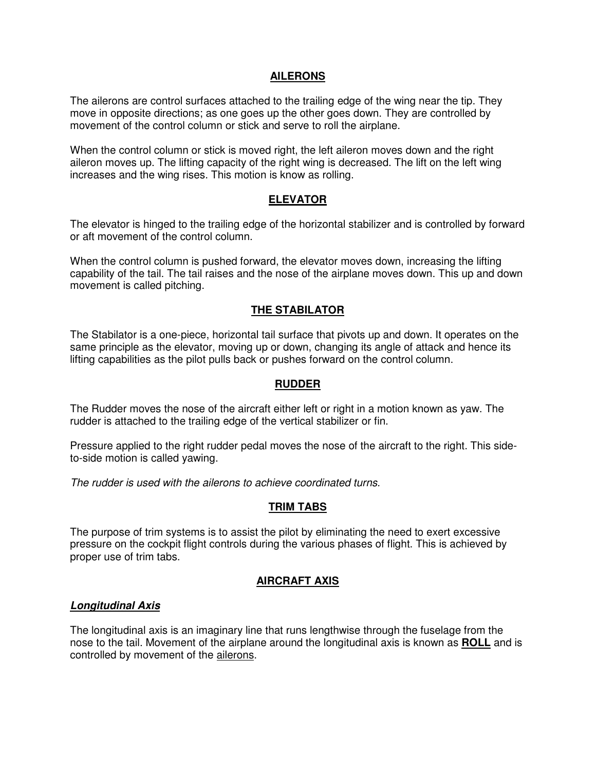## **AILERONS**

The ailerons are control surfaces attached to the trailing edge of the wing near the tip. They move in opposite directions; as one goes up the other goes down. They are controlled by movement of the control column or stick and serve to roll the airplane.

When the control column or stick is moved right, the left aileron moves down and the right aileron moves up. The lifting capacity of the right wing is decreased. The lift on the left wing increases and the wing rises. This motion is know as rolling.

## **ELEVATOR**

The elevator is hinged to the trailing edge of the horizontal stabilizer and is controlled by forward or aft movement of the control column.

When the control column is pushed forward, the elevator moves down, increasing the lifting capability of the tail. The tail raises and the nose of the airplane moves down. This up and down movement is called pitching.

## **THE STABILATOR**

The Stabilator is a one-piece, horizontal tail surface that pivots up and down. It operates on the same principle as the elevator, moving up or down, changing its angle of attack and hence its lifting capabilities as the pilot pulls back or pushes forward on the control column.

### **RUDDER**

The Rudder moves the nose of the aircraft either left or right in a motion known as yaw. The rudder is attached to the trailing edge of the vertical stabilizer or fin.

Pressure applied to the right rudder pedal moves the nose of the aircraft to the right. This sideto-side motion is called yawing.

The rudder is used with the ailerons to achieve coordinated turns.

### **TRIM TABS**

The purpose of trim systems is to assist the pilot by eliminating the need to exert excessive pressure on the cockpit flight controls during the various phases of flight. This is achieved by proper use of trim tabs.

## **AIRCRAFT AXIS**

### **Longitudinal Axis**

The longitudinal axis is an imaginary line that runs lengthwise through the fuselage from the nose to the tail. Movement of the airplane around the longitudinal axis is known as **ROLL** and is controlled by movement of the ailerons.